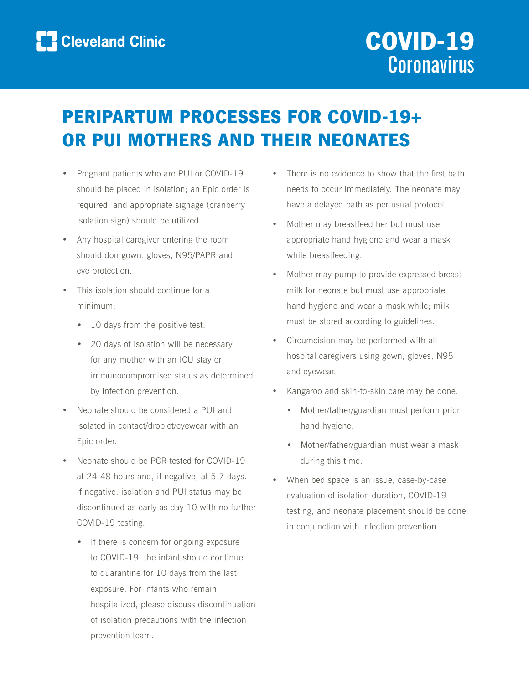

# PERIPARTUM PROCESSES FOR COVID-19+ OR PUI MOTHERS AND THEIR NEONATES

- Pregnant patients who are PUI or COVID-19+ should be placed in isolation; an Epic order is required, and appropriate signage (cranberry isolation sign) should be utilized.
- Any hospital caregiver entering the room should don gown, gloves, N95/PAPR and eye protection.
- This isolation should continue for a minimum:
	- 10 days from the positive test.
	- 20 days of isolation will be necessary for any mother with an ICU stay or immunocompromised status as determined by infection prevention.
- Neonate should be considered a PUI and isolated in contact/droplet/eyewear with an Epic order.
- Neonate should be PCR tested for COVID-19 at 24-48 hours and, if negative, at 5-7 days. If negative, isolation and PUI status may be discontinued as early as day 10 with no further COVID-19 testing.
	- If there is concern for ongoing exposure to COVID-19, the infant should continue to quarantine for 10 days from the last exposure. For infants who remain hospitalized, please discuss discontinuation of isolation precautions with the infection prevention team.
- There is no evidence to show that the first bath needs to occur immediately. The neonate may have a delayed bath as per usual protocol.
- Mother may breastfeed her but must use appropriate hand hygiene and wear a mask while breastfeeding.
- Mother may pump to provide expressed breast milk for neonate but must use appropriate hand hygiene and wear a mask while; milk must be stored according to guidelines.
- Circumcision may be performed with all hospital caregivers using gown, gloves, N95 and eyewear.
- Kangaroo and skin-to-skin care may be done.
	- Mother/father/guardian must perform prior hand hygiene.
	- Mother/father/guardian must wear a mask during this time.
- When bed space is an issue, case-by-case evaluation of isolation duration, COVID-19 testing, and neonate placement should be done in conjunction with infection prevention.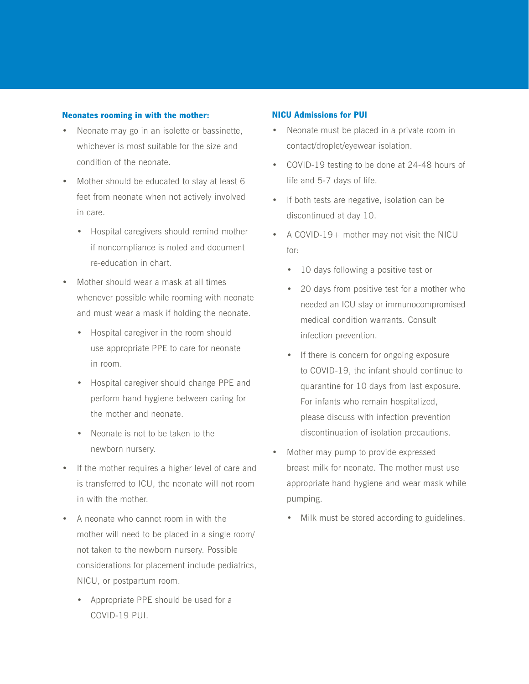#### Neonates rooming in with the mother:

- Neonate may go in an isolette or bassinette, whichever is most suitable for the size and condition of the neonate.
- Mother should be educated to stay at least 6 feet from neonate when not actively involved in care.
	- Hospital caregivers should remind mother if noncompliance is noted and document re-education in chart.
- Mother should wear a mask at all times whenever possible while rooming with neonate and must wear a mask if holding the neonate.
	- Hospital caregiver in the room should use appropriate PPE to care for neonate in room.
	- Hospital caregiver should change PPE and perform hand hygiene between caring for the mother and neonate.
	- Neonate is not to be taken to the newborn nursery.
- If the mother requires a higher level of care and is transferred to ICU, the neonate will not room in with the mother.
- A neonate who cannot room in with the mother will need to be placed in a single room/ not taken to the newborn nursery. Possible considerations for placement include pediatrics, NICU, or postpartum room.
	- Appropriate PPE should be used for a COVID-19 PUI.

### NICU Admissions for PUI

- Neonate must be placed in a private room in contact/droplet/eyewear isolation.
- COVID-19 testing to be done at 24-48 hours of life and 5-7 days of life.
- If both tests are negative, isolation can be discontinued at day 10.
- A COVID-19+ mother may not visit the NICU for:
	- 10 days following a positive test or
	- 20 days from positive test for a mother who needed an ICU stay or immunocompromised medical condition warrants. Consult infection prevention.
	- If there is concern for ongoing exposure to COVID-19, the infant should continue to quarantine for 10 days from last exposure. For infants who remain hospitalized, please discuss with infection prevention discontinuation of isolation precautions.
- Mother may pump to provide expressed breast milk for neonate. The mother must use appropriate hand hygiene and wear mask while pumping.
	- Milk must be stored according to guidelines.